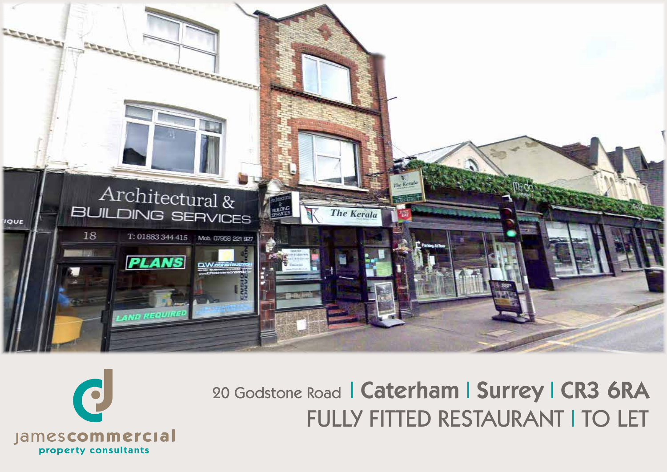



# 20 Godstone Road | Caterham | Surrey | CR3 6RA **FULLY FITTED RESTAURANT I TO LET**